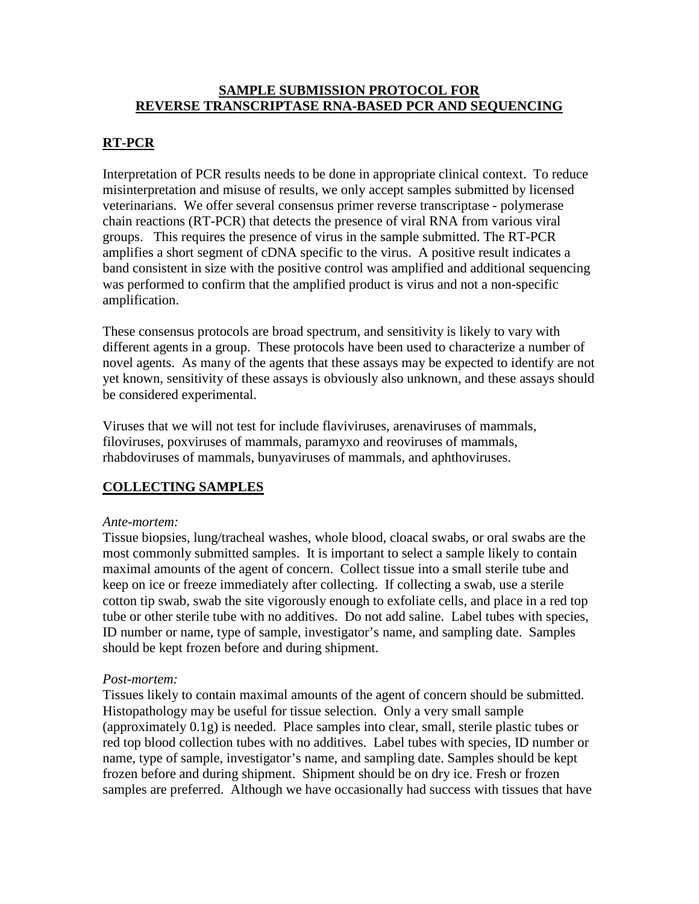#### **SAMPLE SUBMISSION PROTOCOL FOR REVERSE TRANSCRIPTASE RNA-BASED PCR AND SEQUENCING**

### **RT-PCR**

Interpretation of PCR results needs to be done in appropriate clinical context. To reduce misinterpretation and misuse of results, we only accept samples submitted by licensed veterinarians. We offer several consensus primer reverse transcriptase - polymerase chain reactions (RT-PCR) that detects the presence of viral RNA from various viral groups. This requires the presence of virus in the sample submitted. The RT-PCR amplifies a short segment of cDNA specific to the virus. A positive result indicates a band consistent in size with the positive control was amplified and additional sequencing was performed to confirm that the amplified product is virus and not a non-specific amplification.

These consensus protocols are broad spectrum, and sensitivity is likely to vary with different agents in a group. These protocols have been used to characterize a number of novel agents. As many of the agents that these assays may be expected to identify are not yet known, sensitivity of these assays is obviously also unknown, and these assays should be considered experimental.

Viruses that we will not test for include flaviviruses, arenaviruses of mammals, filoviruses, poxviruses of mammals, paramyxo and reoviruses of mammals, rhabdoviruses of mammals, bunyaviruses of mammals, and aphthoviruses.

# **COLLECTING SAMPLES**

#### *Ante-mortem:*

Tissue biopsies, lung/tracheal washes, whole blood, cloacal swabs, or oral swabs are the most commonly submitted samples. It is important to select a sample likely to contain maximal amounts of the agent of concern. Collect tissue into a small sterile tube and keep on ice or freeze immediately after collecting. If collecting a swab, use a sterile cotton tip swab, swab the site vigorously enough to exfoliate cells, and place in a red top tube or other sterile tube with no additives. Do not add saline. Label tubes with species, ID number or name, type of sample, investigator's name, and sampling date. Samples should be kept frozen before and during shipment.

#### *Post-mortem:*

Tissues likely to contain maximal amounts of the agent of concern should be submitted. Histopathology may be useful for tissue selection. Only a very small sample (approximately 0.1g) is needed. Place samples into clear, small, sterile plastic tubes or red top blood collection tubes with no additives. Label tubes with species, ID number or name, type of sample, investigator's name, and sampling date. Samples should be kept frozen before and during shipment. Shipment should be on dry ice. Fresh or frozen samples are preferred. Although we have occasionally had success with tissues that have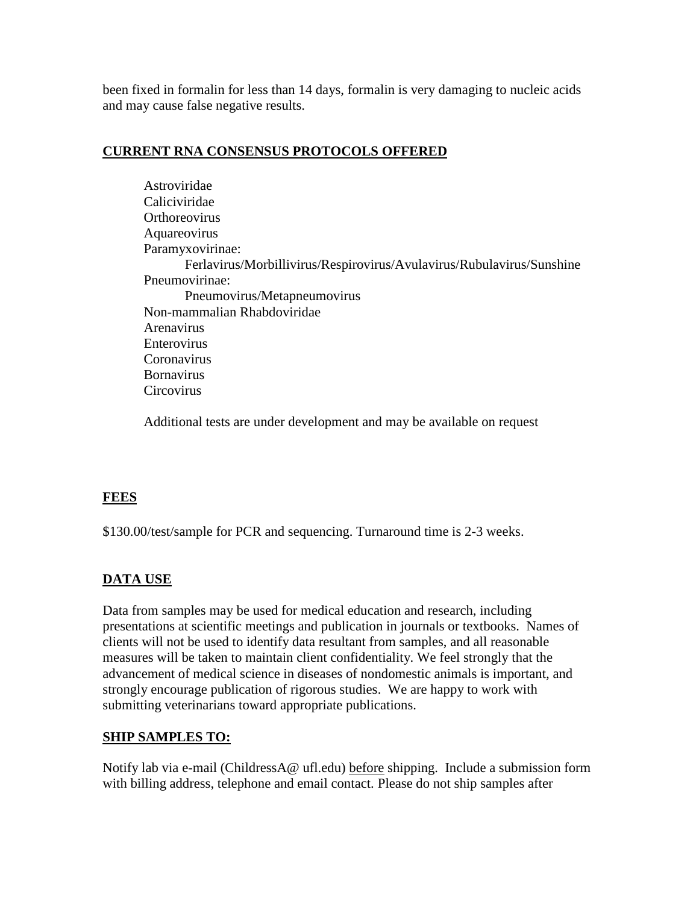been fixed in formalin for less than 14 days, formalin is very damaging to nucleic acids and may cause false negative results.

## **CURRENT RNA CONSENSUS PROTOCOLS OFFERED**

Astroviridae Caliciviridae **Orthoreovirus** Aquareovirus Paramyxovirinae: Ferlavirus/Morbillivirus/Respirovirus/Avulavirus/Rubulavirus/Sunshine Pneumovirinae: Pneumovirus/Metapneumovirus Non-mammalian Rhabdoviridae Arenavirus Enterovirus Coronavirus Bornavirus **Circovirus** 

Additional tests are under development and may be available on request

## **FEES**

\$130.00/test/sample for PCR and sequencing. Turnaround time is 2-3 weeks.

# **DATA USE**

Data from samples may be used for medical education and research, including presentations at scientific meetings and publication in journals or textbooks. Names of clients will not be used to identify data resultant from samples, and all reasonable measures will be taken to maintain client confidentiality. We feel strongly that the advancement of medical science in diseases of nondomestic animals is important, and strongly encourage publication of rigorous studies. We are happy to work with submitting veterinarians toward appropriate publications.

## **SHIP SAMPLES TO:**

Notify lab via e-mail (ChildressA@ ufl.edu) before shipping. Include a submission form with billing address, telephone and email contact. Please do not ship samples after